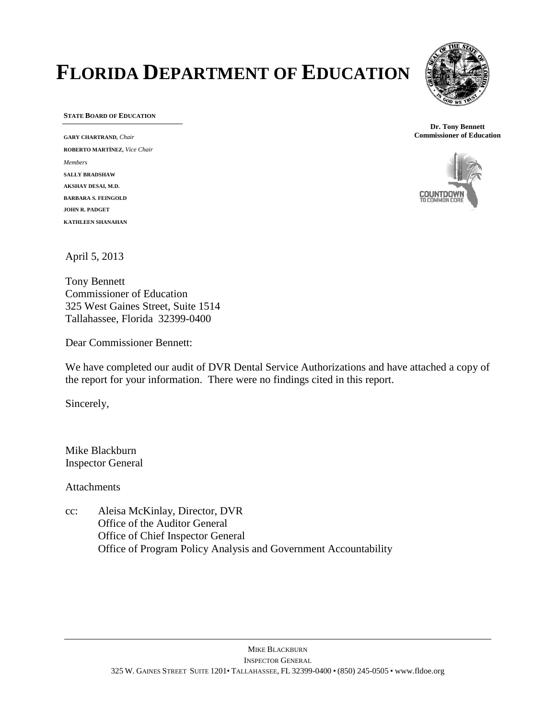# **FLORIDA DEPARTMENT OF EDUCATION**



**STATE BOARD OF EDUCATION**

**GARY CHARTRAND,** *Chair* **ROBERTO MARTÍNEZ,** *Vice Chair Members* **SALLY BRADSHAW AKSHAY DESAI, M.D. BARBARA S. FEINGOLD JOHN R. PADGET KATHLEEN SHANAHAN**

**Dr. Tony Bennett Commissioner of Education**



April 5, 2013

Tony Bennett Commissioner of Education 325 West Gaines Street, Suite 1514 Tallahassee, Florida 32399-0400

Dear Commissioner Bennett:

We have completed our audit of DVR Dental Service Authorizations and have attached a copy of the report for your information. There were no findings cited in this report.

Sincerely,

Mike Blackburn Inspector General

Attachments

cc: Aleisa McKinlay, Director, DVR Office of the Auditor General Office of Chief Inspector General Office of Program Policy Analysis and Government Accountability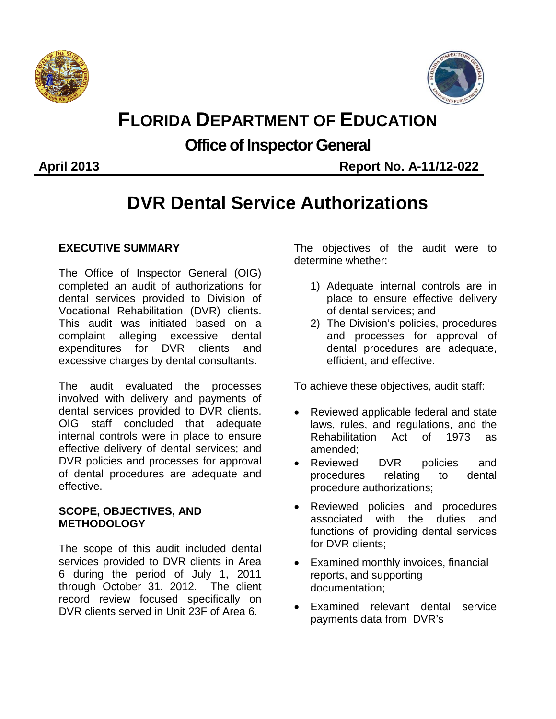



## **FLORIDA DEPARTMENT OF EDUCATION**

### **Office of Inspector General**

**April 2013 Report No. A-11/12-022**

## **DVR Dental Service Authorizations**

#### **EXECUTIVE SUMMARY**

The Office of Inspector General (OIG) completed an audit of authorizations for dental services provided to Division of Vocational Rehabilitation (DVR) clients. This audit was initiated based on a complaint alleging excessive dental expenditures for DVR clients and excessive charges by dental consultants.

The audit evaluated the processes involved with delivery and payments of dental services provided to DVR clients. OIG staff concluded that adequate internal controls were in place to ensure effective delivery of dental services; and DVR policies and processes for approval of dental procedures are adequate and effective.

#### **SCOPE, OBJECTIVES, AND METHODOLOGY**

The scope of this audit included dental services provided to DVR clients in Area 6 during the period of July 1, 2011 through October 31, 2012. The client record review focused specifically on DVR clients served in Unit 23F of Area 6.

The objectives of the audit were to determine whether:

- 1) Adequate internal controls are in place to ensure effective delivery of dental services; and
- 2) The Division's policies, procedures and processes for approval of dental procedures are adequate, efficient, and effective.

To achieve these objectives, audit staff:

- Reviewed applicable federal and state laws, rules, and regulations, and the Rehabilitation Act of 1973 as amended;
- Reviewed DVR policies and procedures relating to dental procedure authorizations;
- Reviewed policies and procedures associated with the duties and functions of providing dental services for DVR clients;
- Examined monthly invoices, financial reports, and supporting documentation;
- Examined relevant dental service payments data from DVR's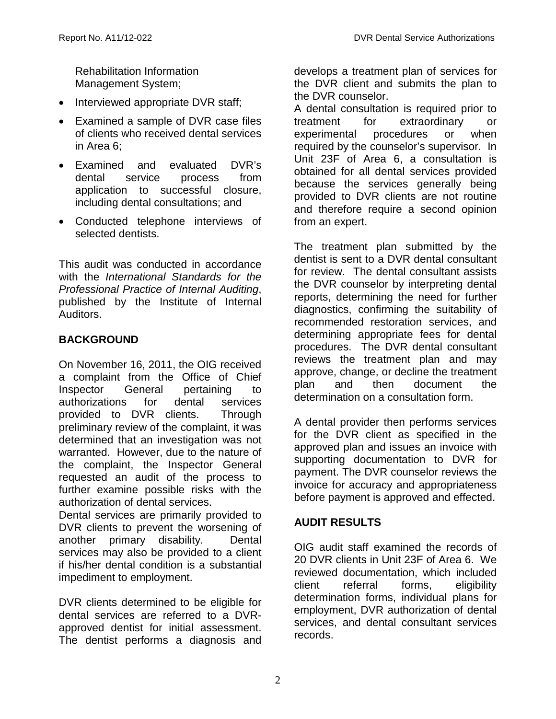Rehabilitation Information Management System;

- Interviewed appropriate DVR staff;
- Examined a sample of DVR case files of clients who received dental services in Area 6;
- Examined and evaluated DVR's dental service process from application to successful closure, including dental consultations; and
- Conducted telephone interviews of selected dentists.

This audit was conducted in accordance with the *International Standards for the Professional Practice of Internal Auditing*, published by the Institute of Internal Auditors.

#### **BACKGROUND**

On November 16, 2011, the OIG received a complaint from the Office of Chief Inspector General pertaining to authorizations for dental services<br>provided to DVR clients. Through provided to DVR clients. preliminary review of the complaint, it was determined that an investigation was not warranted. However, due to the nature of the complaint, the Inspector General requested an audit of the process to further examine possible risks with the authorization of dental services.

Dental services are primarily provided to DVR clients to prevent the worsening of another primary disability. Dental services may also be provided to a client if his/her dental condition is a substantial impediment to employment.

DVR clients determined to be eligible for dental services are referred to a DVRapproved dentist for initial assessment. The dentist performs a diagnosis and develops a treatment plan of services for the DVR client and submits the plan to the DVR counselor.

A dental consultation is required prior to treatment for extraordinary or experimental procedures or when required by the counselor's supervisor. In Unit 23F of Area 6, a consultation is obtained for all dental services provided because the services generally being provided to DVR clients are not routine and therefore require a second opinion from an expert.

The treatment plan submitted by the dentist is sent to a DVR dental consultant for review. The dental consultant assists the DVR counselor by interpreting dental reports, determining the need for further diagnostics, confirming the suitability of recommended restoration services, and determining appropriate fees for dental procedures. The DVR dental consultant reviews the treatment plan and may approve, change, or decline the treatment plan and then document the determination on a consultation form.

A dental provider then performs services for the DVR client as specified in the approved plan and issues an invoice with supporting documentation to DVR for payment. The DVR counselor reviews the invoice for accuracy and appropriateness before payment is approved and effected.

#### **AUDIT RESULTS**

OIG audit staff examined the records of 20 DVR clients in Unit 23F of Area 6. We reviewed documentation, which included client referral forms, eligibility determination forms, individual plans for employment, DVR authorization of dental services, and dental consultant services records.